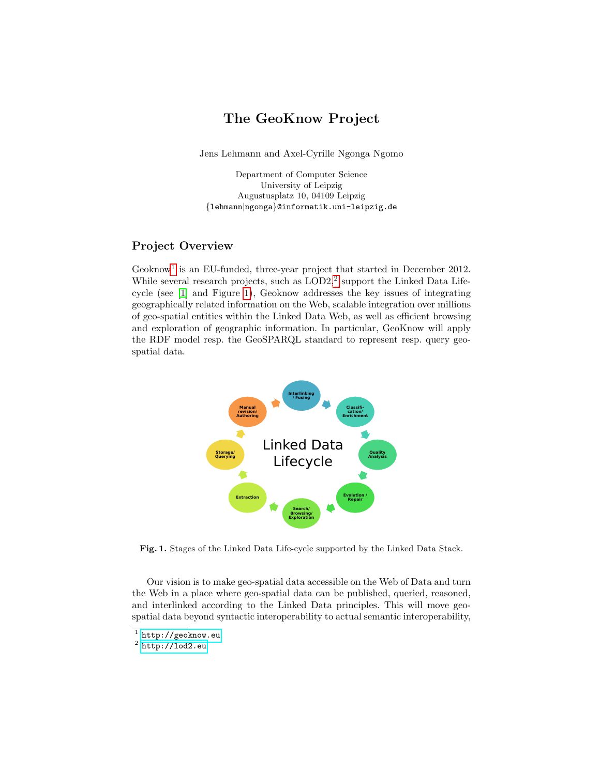## The GeoKnow Project

Jens Lehmann and Axel-Cyrille Ngonga Ngomo

Department of Computer Science University of Leipzig Augustusplatz 10, 04109 Leipzig {lehmann|ngonga}@informatik.uni-leipzig.de

## Project Overview

Geoknow<sup>[1](#page-0-0)</sup> is an EU-funded, three-year project that started in December 2012. While several research projects, such as  $\text{LOD2},^2$  $\text{LOD2},^2$  $\text{LOD2},^2$  support the Linked Data Lifecycle (see [\[1\]](#page-1-0) and Figure [1\)](#page-0-2), Geoknow addresses the key issues of integrating geographically related information on the Web, scalable integration over millions of geo-spatial entities within the Linked Data Web, as well as efficient browsing and exploration of geographic information. In particular, GeoKnow will apply the RDF model resp. the GeoSPARQL standard to represent resp. query geospatial data.



<span id="page-0-2"></span>Fig. 1. Stages of the Linked Data Life-cycle supported by the Linked Data Stack.

Our vision is to make geo-spatial data accessible on the Web of Data and turn the Web in a place where geo-spatial data can be published, queried, reasoned, and interlinked according to the Linked Data principles. This will move geospatial data beyond syntactic interoperability to actual semantic interoperability,

<span id="page-0-0"></span> $^1$  <http://geoknow.eu>

<span id="page-0-1"></span> $^2$  <http://lod2.eu>